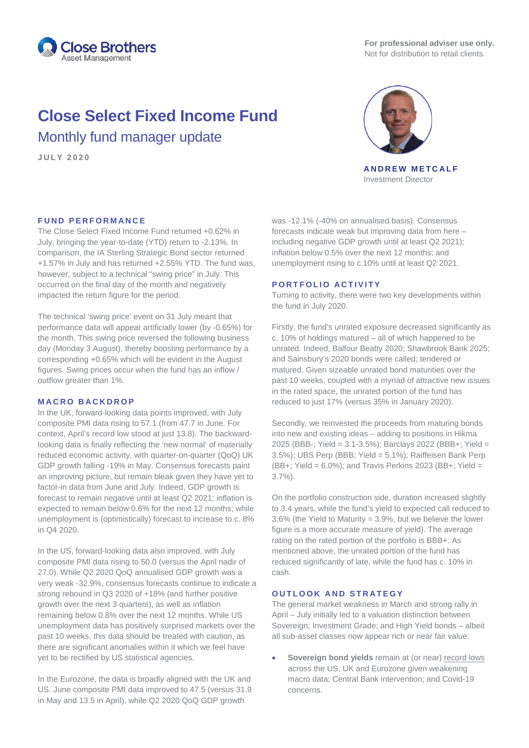

**For professional adviser use only.** Not for distribution to retail clients.

# **Close Select Fixed Income Fund**

Monthly fund manager update

**J U L Y 2020**



**ANDREW METCALF** Investment Director

# **FUND PERFORMANCE**

The Close Select Fixed Income Fund returned +0.62% in July, bringing the year-to-date (YTD) return to -2.13%. In comparison, the IA Sterling Strategic Bond sector returned +1.57% in July and has returned +2.55% YTD. The fund was, however, subject to a technical "swing price" in July. This occurred on the final day of the month and negatively impacted the return figure for the period.

The technical 'swing price' event on 31 July meant that performance data will appear artificially lower (by -0.65%) for the month. This swing price reversed the following business day (Monday 3 August), thereby boosting performance by a corresponding +0.65% which will be evident in the August figures. Swing prices occur when the fund has an inflow / outflow greater than 1%.

## **MACRO BACKDROP**

In the UK, forward-looking data points improved, with July composite PMI data rising to 57.1 (from 47.7 in June. For context, April's record low stood at just 13.8). The backwardlooking data is finally reflecting the 'new normal' of materially reduced economic activity, with quarter-on-quarter (QoQ) UK GDP growth falling -19% in May. Consensus forecasts paint an improving picture, but remain bleak given they have yet to factor-in data from June and July. Indeed, GDP growth is forecast to remain negative until at least Q2 2021; inflation is expected to remain below 0.6% for the next 12 months; while unemployment is (optimistically) forecast to increase to c. 8% in Q4 2020.

In the US, forward-looking data also improved, with July composite PMI data rising to 50.0 (versus the April nadir of 27.0). While Q2 2020 QoQ annualised GDP growth was a very weak -32.9%, consensus forecasts continue to indicate a strong rebound in Q3 2020 of +18% (and further positive growth over the next 3 quarters), as well as inflation remaining below 0.8% over the next 12 months. While US unemployment data has positively surprised markets over the past 10 weeks, this data should be treated with caution, as there are significant anomalies within it which we feel have yet to be rectified by US statistical agencies.

In the Eurozone, the data is broadly aligned with the UK and US. June composite PMI data improved to 47.5 (versus 31.9 in May and 13.5 in April), while Q2 2020 QoQ GDP growth

was -12.1% (-40% on annualised basis). Consensus forecasts indicate weak but improving data from here – including negative GDP growth until at least Q2 2021): inflation below 0.5% over the next 12 months; and unemployment rising to c.10% until at least Q2 2021.

## **PORTFOLIO ACTIVITY**

Turning to activity, there were two key developments within the fund in July 2020.

Firstly, the fund's unrated exposure decreased significantly as c. 10% of holdings matured – all of which happened to be unrated. Indeed, Balfour Beatty 2020; Shawbrook Bank 2025; and Sainsbury's 2020 bonds were called; tendered or matured. Given sizeable unrated bond maturities over the past 10 weeks, coupled with a myriad of attractive new issues in the rated space, the unrated portion of the fund has reduced to just 17% (versus 35% in January 2020).

Secondly, we reinvested the proceeds from maturing bonds into new and existing ideas – adding to positions in Hikma 2025 (BBB-; Yield = 3.1-3.5%); Barclays 2022 (BBB+; Yield = 3.5%); UBS Perp (BBB; Yield = 5.1%); Raiffeisen Bank Perp (BB+; Yield = 6.0%); and Travis Perkins 2023 (BB+; Yield = 3.7%).

On the portfolio construction side, duration increased slightly to 3.4 years, while the fund's yield to expected call reduced to 3.6% (the Yield to Maturity = 3.9%, but we believe the lower figure is a more accurate measure of yield). The average rating on the rated portion of the portfolio is BBB+. As mentioned above, the unrated portion of the fund has reduced significantly of late, while the fund has c. 10% in cash.

# **OUTLOOK A ND STRATEGY**

The general market weakness in March and strong rally in April – July initially led to a valuation distinction between Sovereign; Investment Grade; and High Yield bonds – albeit all sub-asset classes now appear rich or near fair value:

**Sovereign bond yields** remain at (or near) record lows across the US, UK and Eurozone given weakening macro data; Central Bank intervention; and Covid-19 concerns.